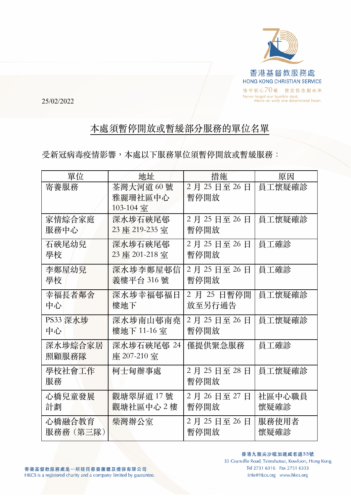

25/02/2022

## 本處須暫停開放或暫緩部分服務的單位名單

受新冠病毒疫情影響,本處以下服務單位須暫停開放或暫緩服務:

| 單位       | 地址             | 措施          | 原因     |
|----------|----------------|-------------|--------|
| 寄養服務     | 荃灣大河道60號       | 2月25日至26日   | 員工懷疑確診 |
|          | 雅麗珊社區中心        | 暫停開放        |        |
|          | 103-104 室      |             |        |
| 家情綜合家庭   | 深水埗石硤尾邨        | 2月25日至26日   | 員工懷疑確診 |
| 服務中心     | 23 座 219-235 室 | 暫停開放        |        |
| 石硤尾幼兒    | 深水埗石硤尾邨        | 2月25日至26日   | 員工確診   |
| 學校       | 23 座 201-218 室 | 暫停開放        |        |
| 李鄭屋幼兒    | 深水埗李鄭屋邨信       | 2月25日至26日   | 員工確診   |
| 學校       | 義樓平台 316號      | 暫停開放        |        |
| 幸福長者鄰舍   | 深水埗幸福邨福日       | 2 月 25 日暫停開 | 員工懷疑確診 |
| 中心       | 樓地下            | 放至另行通告      |        |
| PS33 深水埗 | 深水埗南山邨南堯       | 2月25日至26日   | 員工懷疑確診 |
| 中心       | 樓地下 11-16室     | 暫停開放        |        |
| 深水埗綜合家居  | 深水埗石硤尾邨 24     | 僅提供緊急服務     | 員工確診   |
| 照顧服務隊    | 座 207-210 室    |             |        |
| 學校社會工作   | 柯士甸辦事處         | 2月25日至28日   | 員工懷疑確診 |
| 服務       |                | 暫停開放        |        |
| 心橋兒童發展   | 觀塘翠屏道17號       | 2月26日至27日   | 社區中心職員 |
| 計劃       | 觀塘社區中心 2 樓     | 暫停開放        | 懷疑確診   |
| 心橋融合教育   | 柴灣辦公室          | 2月25日至26日   | 服務使用者  |
| 服務務(第三隊) |                | 暫停開放        | 懷疑確診   |

33 Granville Road, Tsimshatsui, Kowloon, Hong Kong Tel 2731 6316 Fax 2731 6333 info@hkcs.org www.hkcs.org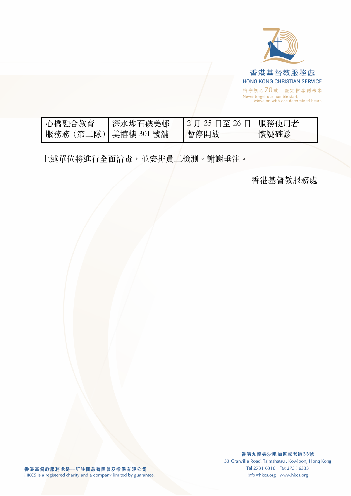

| 心橋融合教育                | 「深水埗石硤美邨」 | 2月 25 日至 26 日   服務使用者 |      |
|-----------------------|-----------|-----------------------|------|
| 服務務 (第二隊)  美禧樓 301 號舖 |           | 暫停開放                  | 懷疑確診 |

上述單位將進⾏全⾯清毒,並安排員⼯檢測。謝謝垂注。

⾹港基督教服務處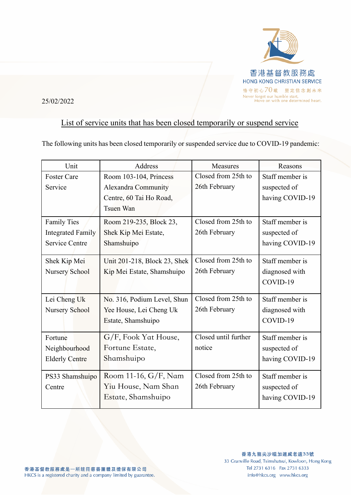

## 25/02/2022

## List of service units that has been closed temporarily or suspend service

The following units has been closed temporarily or suspended service due to COVID-19 pandemic:

| Unit                     | Address                      | <b>Measures</b>      | Reasons         |
|--------------------------|------------------------------|----------------------|-----------------|
| <b>Foster Care</b>       | Room 103-104, Princess       | Closed from 25th to  | Staff member is |
| Service                  | <b>Alexandra Community</b>   | 26th February        | suspected of    |
|                          | Centre, 60 Tai Ho Road,      |                      | having COVID-19 |
|                          | <b>Tsuen Wan</b>             |                      |                 |
| <b>Family Ties</b>       | Room 219-235, Block 23,      | Closed from 25th to  | Staff member is |
| <b>Integrated Family</b> | Shek Kip Mei Estate,         | 26th February        | suspected of    |
| <b>Service Centre</b>    | Shamshuipo                   |                      | having COVID-19 |
| Shek Kip Mei             | Unit 201-218, Block 23, Shek | Closed from 25th to  | Staff member is |
| Nursery School           | Kip Mei Estate, Shamshuipo   | 26th February        | diagnosed with  |
|                          |                              |                      | COVID-19        |
| Lei Cheng Uk             | No. 316, Podium Level, Shun  | Closed from 25th to  | Staff member is |
| Nursery School           | Yee House, Lei Cheng Uk      | 26th February        | diagnosed with  |
|                          | Estate, Shamshuipo           |                      | COVID-19        |
| Fortune                  | G/F, Fook Yat House,         | Closed until further | Staff member is |
| Neighbourhood            | Fortune Estate,              | notice               | suspected of    |
| <b>Elderly Centre</b>    | Shamshuipo                   |                      | having COVID-19 |
| PS33 Shamshuipo          | Room 11-16, G/F, Nam         | Closed from 25th to  | Staff member is |
| Centre                   | Yiu House, Nam Shan          | 26th February        | suspected of    |
|                          | Estate, Shamshuipo           |                      | having COVID-19 |